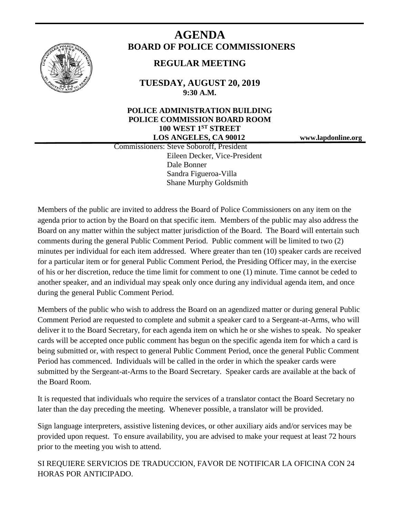

# **AGENDA BOARD OF POLICE COMMISSIONERS**

## **REGULAR MEETING**

**TUESDAY, AUGUST 20, 2019 9:30 A.M.**

### **POLICE ADMINISTRATION BUILDING POLICE COMMISSION BOARD ROOM 100 WEST 1ST STREET LOS ANGELES, CA 90012 www.lapdonline.org**

 Commissioners: Steve Soboroff, President Eileen Decker, Vice-President Dale Bonner Sandra Figueroa-Villa Shane Murphy Goldsmith

Members of the public are invited to address the Board of Police Commissioners on any item on the agenda prior to action by the Board on that specific item. Members of the public may also address the Board on any matter within the subject matter jurisdiction of the Board. The Board will entertain such comments during the general Public Comment Period. Public comment will be limited to two (2) minutes per individual for each item addressed. Where greater than ten (10) speaker cards are received for a particular item or for general Public Comment Period, the Presiding Officer may, in the exercise of his or her discretion, reduce the time limit for comment to one (1) minute. Time cannot be ceded to another speaker, and an individual may speak only once during any individual agenda item, and once during the general Public Comment Period.

Members of the public who wish to address the Board on an agendized matter or during general Public Comment Period are requested to complete and submit a speaker card to a Sergeant-at-Arms, who will deliver it to the Board Secretary, for each agenda item on which he or she wishes to speak. No speaker cards will be accepted once public comment has begun on the specific agenda item for which a card is being submitted or, with respect to general Public Comment Period, once the general Public Comment Period has commenced. Individuals will be called in the order in which the speaker cards were submitted by the Sergeant-at-Arms to the Board Secretary. Speaker cards are available at the back of the Board Room.

It is requested that individuals who require the services of a translator contact the Board Secretary no later than the day preceding the meeting. Whenever possible, a translator will be provided.

Sign language interpreters, assistive listening devices, or other auxiliary aids and/or services may be provided upon request. To ensure availability, you are advised to make your request at least 72 hours prior to the meeting you wish to attend.

SI REQUIERE SERVICIOS DE TRADUCCION, FAVOR DE NOTIFICAR LA OFICINA CON 24 HORAS POR ANTICIPADO.